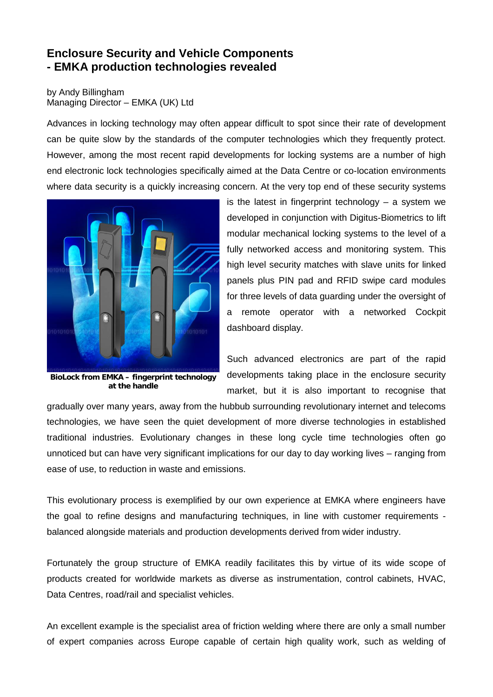## **Enclosure Security and Vehicle Components - EMKA production technologies revealed**

by Andy Billingham Managing Director – EMKA (UK) Ltd

Advances in locking technology may often appear difficult to spot since their rate of development can be quite slow by the standards of the computer technologies which they frequently protect. However, among the most recent rapid developments for locking systems are a number of high end electronic lock technologies specifically aimed at the Data Centre or co-location environments where data security is a quickly increasing concern. At the very top end of these security systems



**BioLock from EMKA – fingerprint technology at the handle**

is the latest in fingerprint technology  $-$  a system we developed in conjunction with Digitus-Biometrics to lift modular mechanical locking systems to the level of a fully networked access and monitoring system. This high level security matches with slave units for linked panels plus PIN pad and RFID swipe card modules for three levels of data guarding under the oversight of a remote operator with a networked Cockpit dashboard display.

Such advanced electronics are part of the rapid developments taking place in the enclosure security market, but it is also important to recognise that

gradually over many years, away from the hubbub surrounding revolutionary internet and telecoms technologies, we have seen the quiet development of more diverse technologies in established traditional industries. Evolutionary changes in these long cycle time technologies often go unnoticed but can have very significant implications for our day to day working lives – ranging from ease of use, to reduction in waste and emissions.

This evolutionary process is exemplified by our own experience at EMKA where engineers have the goal to refine designs and manufacturing techniques, in line with customer requirements balanced alongside materials and production developments derived from wider industry.

Fortunately the group structure of EMKA readily facilitates this by virtue of its wide scope of products created for worldwide markets as diverse as instrumentation, control cabinets, HVAC, Data Centres, road/rail and specialist vehicles.

An excellent example is the specialist area of friction welding where there are only a small number of expert companies across Europe capable of certain high quality work, such as welding of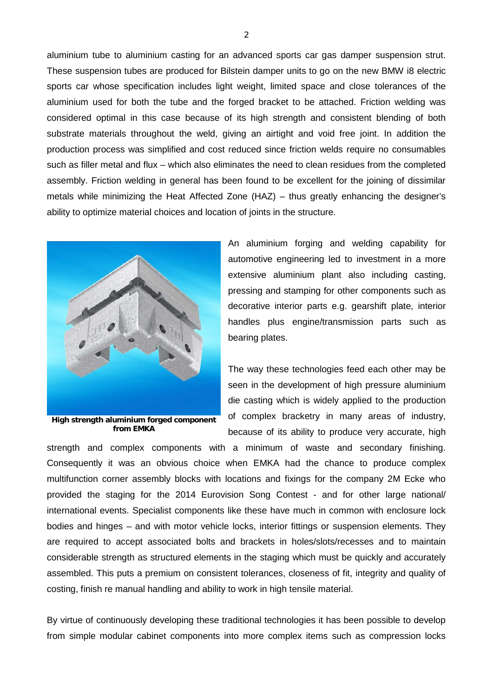aluminium tube to aluminium casting for an advanced sports car gas damper suspension strut. These suspension tubes are produced for Bilstein damper units to go on the new BMW i8 electric sports car whose specification includes light weight, limited space and close tolerances of the aluminium used for both the tube and the forged bracket to be attached. Friction welding was considered optimal in this case because of its high strength and consistent blending of both substrate materials throughout the weld, giving an airtight and void free joint. In addition the production process was simplified and cost reduced since friction welds require no consumables such as filler metal and flux – which also eliminates the need to clean residues from the completed assembly. Friction welding in general has been found to be excellent for the joining of dissimilar metals while minimizing the Heat Affected Zone (HAZ) – thus greatly enhancing the designer's ability to optimize material choices and location of joints in the structure.



**High strength aluminium forged component from EMKA**

An aluminium forging and welding capability for automotive engineering led to investment in a more extensive aluminium plant also including casting, pressing and stamping for other components such as decorative interior parts e.g. gearshift plate, interior handles plus engine/transmission parts such as bearing plates.

The way these technologies feed each other may be seen in the development of high pressure aluminium die casting which is widely applied to the production of complex bracketry in many areas of industry, because of its ability to produce very accurate, high

strength and complex components with a minimum of waste and secondary finishing. Consequently it was an obvious choice when EMKA had the chance to produce complex multifunction corner assembly blocks with locations and fixings for the company 2M Ecke who provided the staging for the 2014 Eurovision Song Contest - and for other large national/ international events. Specialist components like these have much in common with enclosure lock bodies and hinges – and with motor vehicle locks, interior fittings or suspension elements. They are required to accept associated bolts and brackets in holes/slots/recesses and to maintain considerable strength as structured elements in the staging which must be quickly and accurately assembled. This puts a premium on consistent tolerances, closeness of fit, integrity and quality of costing, finish re manual handling and ability to work in high tensile material.

By virtue of continuously developing these traditional technologies it has been possible to develop from simple modular cabinet components into more complex items such as compression locks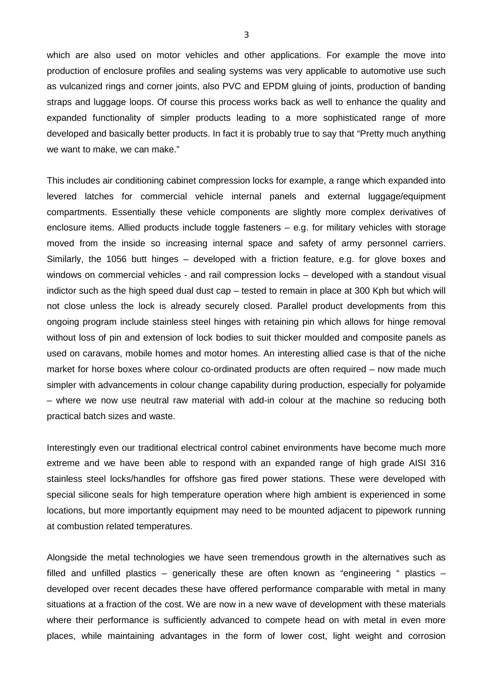which are also used on motor vehicles and other applications. For example the move into production of enclosure profiles and sealing systems was very applicable to automotive use such as vulcanized rings and corner joints, also PVC and EPDM gluing of joints, production of banding straps and luggage loops. Of course this process works back as well to enhance the quality and expanded functionality of simpler products leading to a more sophisticated range of more developed and basically better products. In fact it is probably true to say that "Pretty much anything we want to make, we can make."

This includes air conditioning cabinet compression locks for example, a range which expanded into levered latches for commercial vehicle internal panels and external luggage/equipment compartments. Essentially these vehicle components are slightly more complex derivatives of enclosure items. Allied products include toggle fasteners – e.g. for military vehicles with storage moved from the inside so increasing internal space and safety of army personnel carriers. Similarly, the 1056 butt hinges – developed with a friction feature, e.g. for glove boxes and windows on commercial vehicles - and rail compression locks – developed with a standout visual indictor such as the high speed dual dust cap – tested to remain in place at 300 Kph but which will not close unless the lock is already securely closed. Parallel product developments from this ongoing program include stainless steel hinges with retaining pin which allows for hinge removal without loss of pin and extension of lock bodies to suit thicker moulded and composite panels as used on caravans, mobile homes and motor homes. An interesting allied case is that of the niche market for horse boxes where colour co-ordinated products are often required – now made much simpler with advancements in colour change capability during production, especially for polyamide – where we now use neutral raw material with add-in colour at the machine so reducing both practical batch sizes and waste.

Interestingly even our traditional electrical control cabinet environments have become much more extreme and we have been able to respond with an expanded range of high grade AISI 316 stainless steel locks/handles for offshore gas fired power stations. These were developed with special silicone seals for high temperature operation where high ambient is experienced in some locations, but more importantly equipment may need to be mounted adjacent to pipework running at combustion related temperatures.

Alongside the metal technologies we have seen tremendous growth in the alternatives such as filled and unfilled plastics – generically these are often known as "engineering " plastics – developed over recent decades these have offered performance comparable with metal in many situations at a fraction of the cost. We are now in a new wave of development with these materials where their performance is sufficiently advanced to compete head on with metal in even more places, while maintaining advantages in the form of lower cost, light weight and corrosion